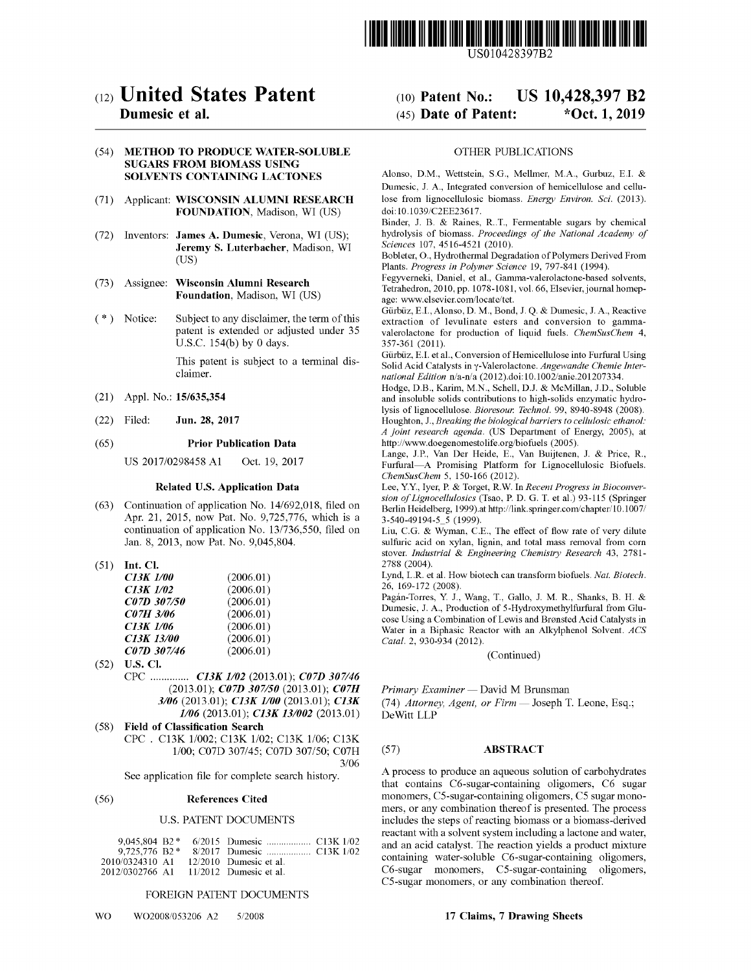

US010428397B2

# c12) **United States Patent**

# **Dumesic et al.**

# (54) **METHOD TO PRODUCE WATER-SOLUBLE SUGARS FROM BIOMASS USING SOLVENTS CONTAINING LACTONES**

- (71) Applicant: **WISCONSIN ALUMNI RESEARCH FOUNDATION,** Madison, WI (US)
- (72) Inventors: **James A. Dumesic,** Verona, WI (US); **Jeremy S. Luterbacher,** Madison, WI (US)
- (73) Assignee: **Wisconsin Alumni Research Foundation,** Madison, WI (US)
- (\*) Notice: Subject to any disclaimer, the term of this patent is extended or adjusted under 35 U.S.C. 154(b) by O days.

This patent is subject to a terminal disclaimer.

- (21) Appl. No.: **15/635,354**
- (22) Filed: **Jun. 28, 2017**

#### (65) **Prior Publication Data**

US 2017/0298458 A1 Oct. 19, 2017

# **Related U.S. Application Data**

- (63) Continuation of application No. 14/692,018, filed on Apr. 21, 2015, now Pat. No. 9,725,776, which is a continuation of application No. 13/736,550, filed on Jan. 8, 2013, now Pat. No. 9,045,804.
- (51) **Int. Cl.**

| <b>C13K 1/00</b> | (2006.01) |
|------------------|-----------|
| C13K 1/02        | (2006.01) |
| C07D 307/50      | (2006.01) |
| C07H 3/06        | (2006.01) |
| C13K 1/06        | (2006.01) |
| C13K 13/00       | (2006.01) |
| C07D 307/46      | (2006.01) |

- (52) **U.S. Cl.**  CPC .............. *C13K 1/02* (2013.01); *C07D 307/46* (2013.01); *C07D 307150* (2013.01); *C07H 3/06* (2013.01); *C13K 1100* (2013.01); *C13K 1106* (2013.01); *C13K 13/002* (2013.01)
- ( 58) **Field of Classification Search**  CPC . C13K 1/002; C13K 1/02; C13K 1/06; C13K 1/00; C07D 307/45; C07D 307/50; C07H 3/06

See application file for complete search history.

#### (56) **References Cited**

#### U.S. PATENT DOCUMENTS

| 2010/0324310 A1 |  | $12/2010$ Dumesic et al. |  |
|-----------------|--|--------------------------|--|
| 2012/0302766 A1 |  | $11/2012$ Dumesic et al. |  |

#### FOREIGN PATENT DOCUMENTS

# (IO) **Patent No.: US 10,428,397 B2**  (45) **Date of Patent: \*Oct. 1, 2019**

#### OTHER PUBLICATIONS

Alonso, D.M., Wettstein, S.G., Mellmer, M.A., Gurbuz, E.I. & Dumesic, J. A., Integrated conversion of hemicellulose and cellulose from lignocellulosic biomass. *Energy Environ. Sci.* (2013). doi: 10.1039/C2EE23617.

Binder, J. B. & Raines, R. T., Fermentable sugars by chemical hydrolysis of biomass. *Proceedings of the National Academy of Sciences* 107, 4516-4521 (2010).

Bobleter, 0., Hydrothermal Degradation of Polymers Derived From Plants. *Progress in Polymer Science* 19, 797-841 (1994).

Fegyverneki, Daniel, et al., Gamrna-valerolactone-based solvents, Tetrahedron, 2010, pp. 1078-1081, vol. 66, Elsevier, journal homepage: www.elsevier.com/locate/tet.

Giirbiiz, E.I., Alonso, D. M., Bond, J. Q. & Dumesic, J. A., Reactive extraction of levulinate esters and conversion to gammavalerolactone for production of liquid fuels. *ChemSusChem* 4, 357-361 (2011).

Gürbüz, E.I. et al., Conversion of Hemicellulose into Furfural Using Solid Acid Catalysts in y-Valerolactone. *Angewandte Chemie International Edition* n/a-n/a (2012).doi: 10.1002/anie.201207334.

Hodge, D.B., Karim, **M.N.,** Schell, D.J. & McMillan, J.D., Soluble and insoluble solids contributions to high-solids enzymatic hydrolysis of lignocellulose. *Bioresour. Technol.* 99, 8940-8948 (2008). Houghton, J., *Breaking the biological barriers to cellulosic ethanol: A joint research agenda.* (US Department of Energy, 2005), at http://www.doegenomestolife.org/biofuels (2005).

Lange, J.P., Van Der Heide, E., Van Buijtenen, J. & Price, R., Furfural-A Promising Platform for Lignocellulosic Biofuels. *ChemSusChem* 5, 150-166 (2012).

Lee, Y.Y., Iyer, P. & Torget, R.W. In *Recent Progress in Bioconversion of Lignocellulosics* (Tsao, P. D. G. T. et al.) 93-115 (Springer Berlin Heidelberg, 1999).at http://link.springer.com/chapter/10.1007/ 3-540-49194-5\_5 (1999).

Liu, C.G. & Wyman, C.E., The effect of flow rate of very dilute sulfuric acid on xylan, lignin, and total mass removal from corn stover. *Industrial* & *Engineering Chemistry Research* 43, 2781- 2788 (2004).

Lynd, L.R. et al. How biotech can transform biofuels. *Nat. Biotech.*  26, 169-172 (2008).

Pagan-Torres, Y. J., Wang, T., Gallo, J. M. R., Shanks, B. H. & Dumesic, J. A., Production of 5-Hydroxymethylfurfural from Glucose Using a Combination of Lewis and Brønsted Acid Catalysts in Water in a Biphasic Reactor with an Alkylphenol Solvent. *ACS Cata!.* 2, 930-934 (2012).

(Continued)

*Primary Examiner* - David M Brunsman

(74) *Attorney, Agent, or Firm* - Joseph T. Leone, Esq.; DeWitt LLP

# (57) **ABSTRACT**

A process to produce an aqueous solution of carbohydrates that contains C6-sugar-containing oligomers, C6 sugar monomers, CS-sugar-containing oligomers, *CS* sugar monomers, or any combination thereof is presented. The process includes the steps of reacting biomass or a biomass-derived reactant with a solvent system including a lactone and water, and an acid catalyst. The reaction yields a product mixture containing water-soluble C6-sugar-containing oligomers, C6-sugar monomers, CS-sugar-containing oligomers, CS-sugar monomers, or any combination thereof.

#### **17 Claims, 7 Drawing Sheets**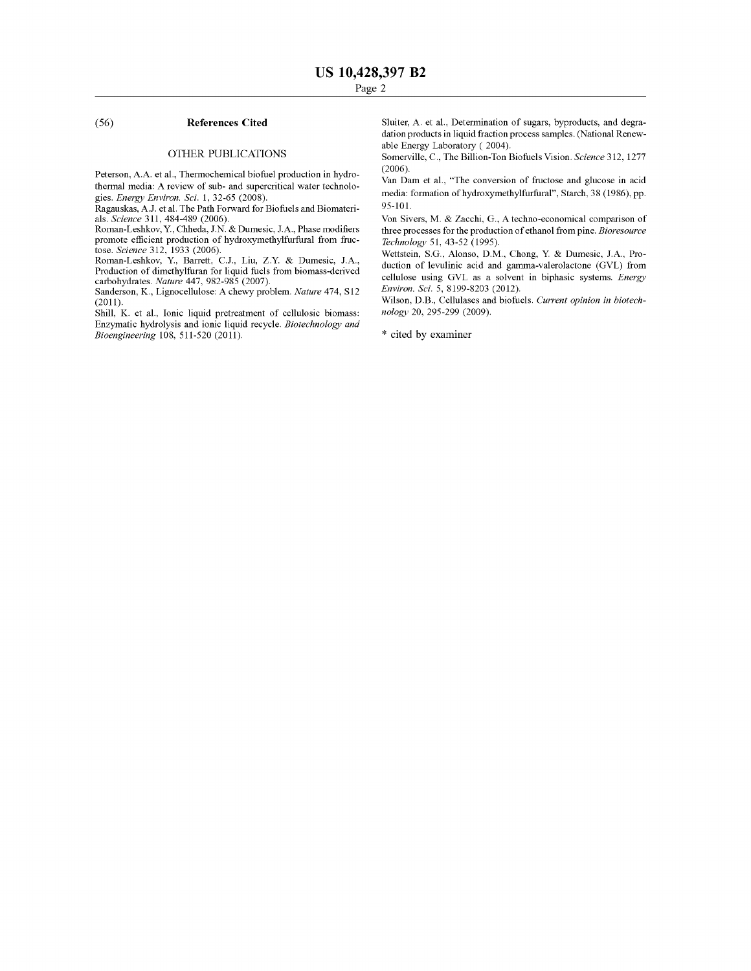# (56) **References Cited**

#### OTHER PUBLICATIONS

Peterson, A.A. et al., Thermochemical biofuel production in hydrothermal media: A review of sub- and supercritical water technologies. *Energy Environ. Sci.* 1, 32-65 (2008).

Ragauskas, A.J. et al. The Path Forward for Biofuels and Biomaterials. *Science* 311, 484-489 (2006).

Roman-Leshkov, Y., Chheda, J.N. & Dumesic, J.A., Phase modifiers promote efficient production of hydroxymethylfurfural from fructose. *Science* 312, 1933 (2006).

Roman-Leshkov, Y., Barrett, C.J., Liu, Z.Y. & Dumesic, J.A., Production of dimethylfuran for liquid fuels from biomass-derived carbohydrates. *Nature* 447, 982-985 (2007).

Sanderson, K., Lignocellulose: A chewy problem. *Nature* 474, Sl2 (2011).

Shill, K. et al., Ionic liquid pretreatment of cellulosic biomass: Enzymatic hydrolysis and ionic liquid recycle. *Biotechnology and Bioengineering* 108, 511-520 (2011).

Sluiter, A. et al., Determination of sugars, byproducts, and degradation products in liquid fraction process samples. (National Renewable Energy Laboratory ( 2004).

Somerville, C., The Billion-Ton Biofuels Vision. *Science* 312, 1277 (2006).

Van Dam et al., "The conversion of fructose and glucose in acid media: formation of hydroxymethylfurfural", Starch, 38 (1986), pp. 95-101.

Von Sivers, M. & Zacchi, G., A techno-economical comparison of three processes for the production of ethanol from pine. *Bioresource Technology* 51, 43-52 (1995).

Wettstein, S.G., Alonso, D.M., Chong, Y. & Dumesic, J.A., Production of levulinic acid and gamma-valerolactone (GVL) from cellulose using GVL as a solvent in biphasic systems. *Energy Environ. Sci.* 5, 8199-8203 (2012).

Wilson, D.B., Cellulases and biofuels. *Current opinion in biotechnology* 20, 295-299 (2009).

\* cited by examiner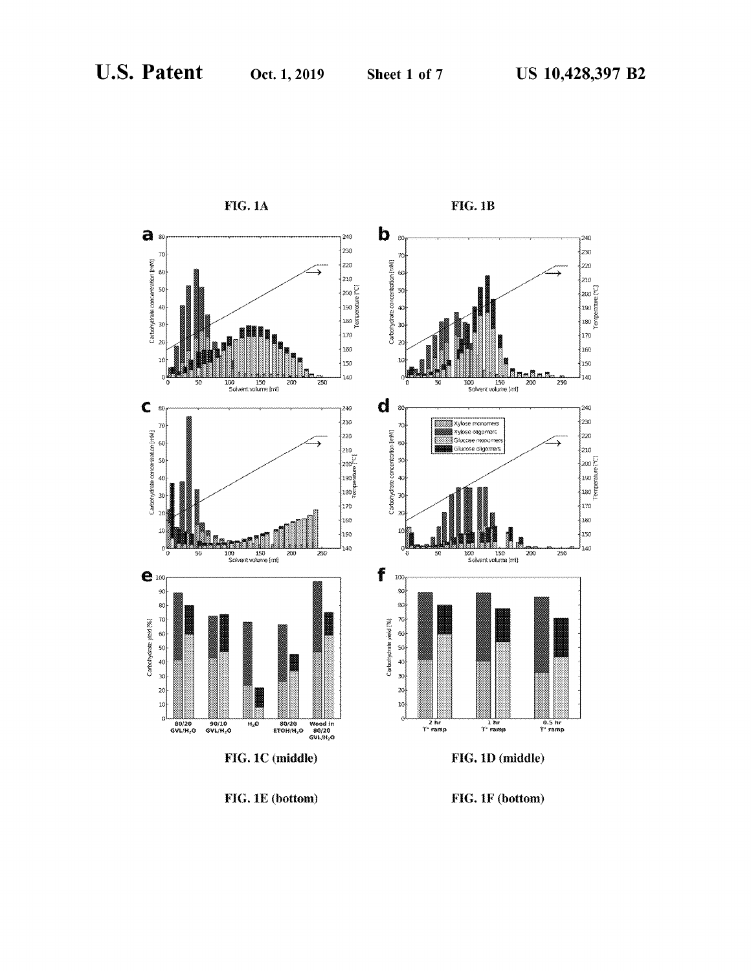

FIG. 1E (bottom)

FIG. 1F (bottom)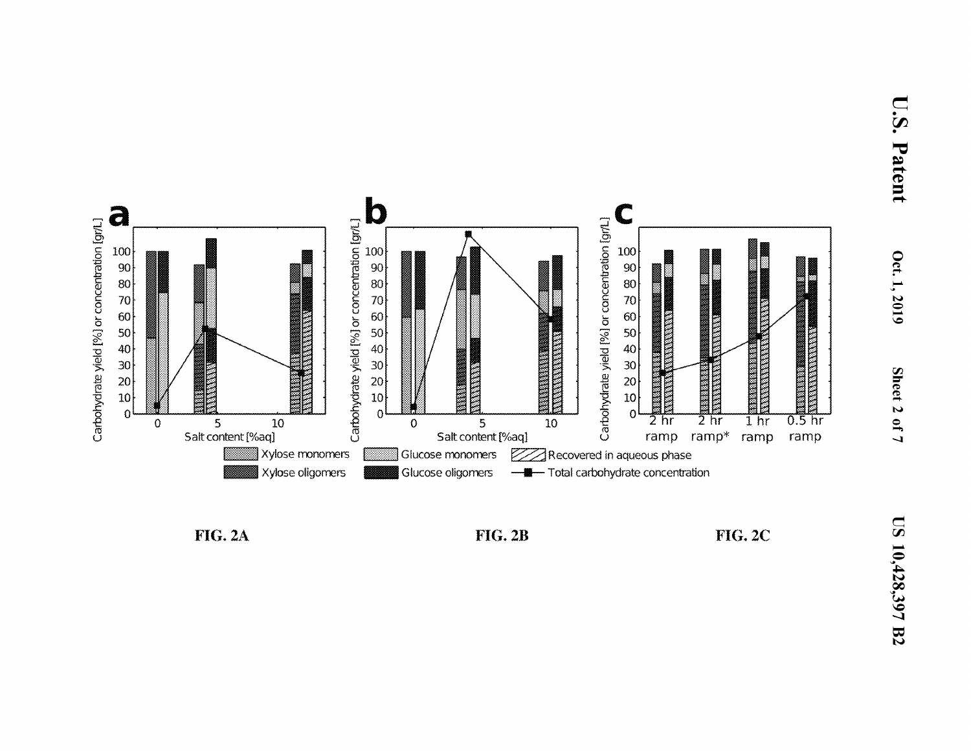

**FIG. 2A** 



**FIG. 2C**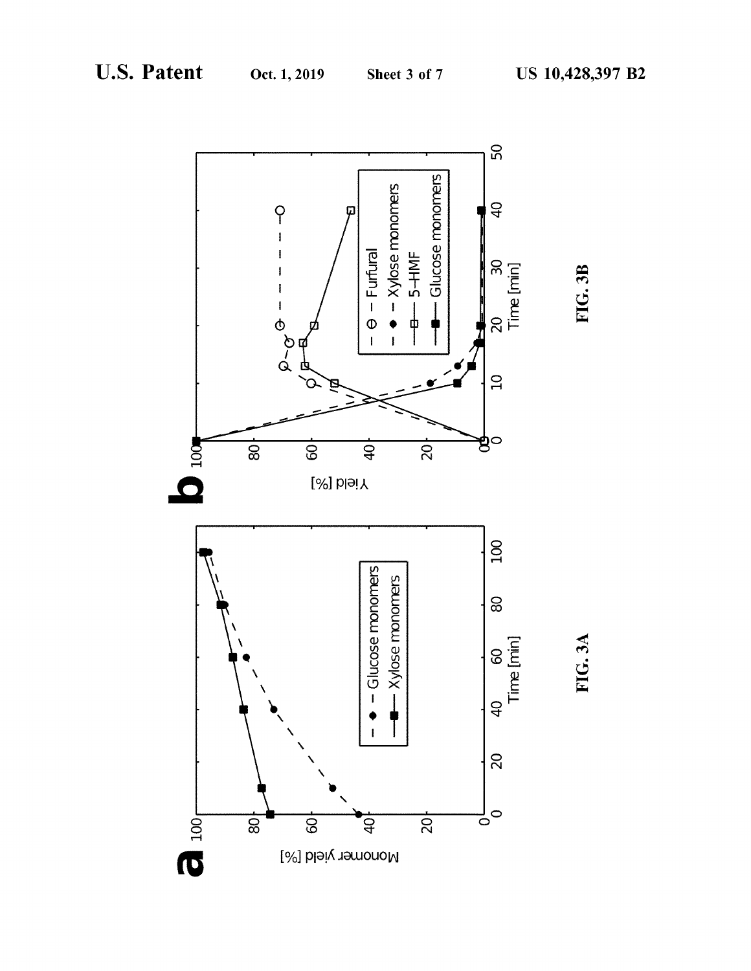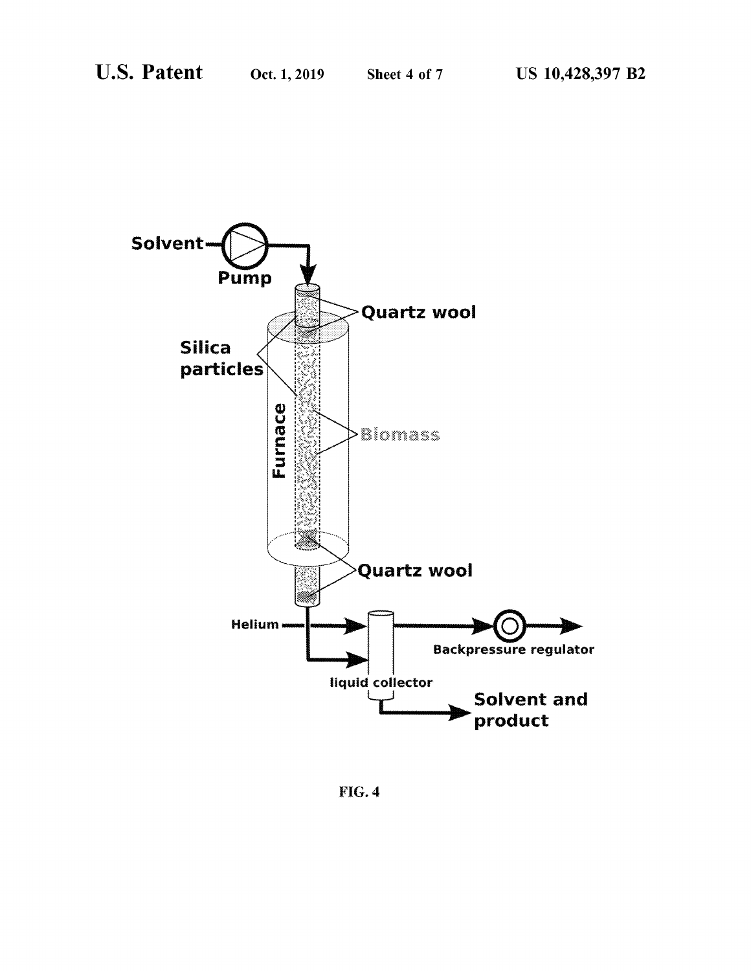

FIG.4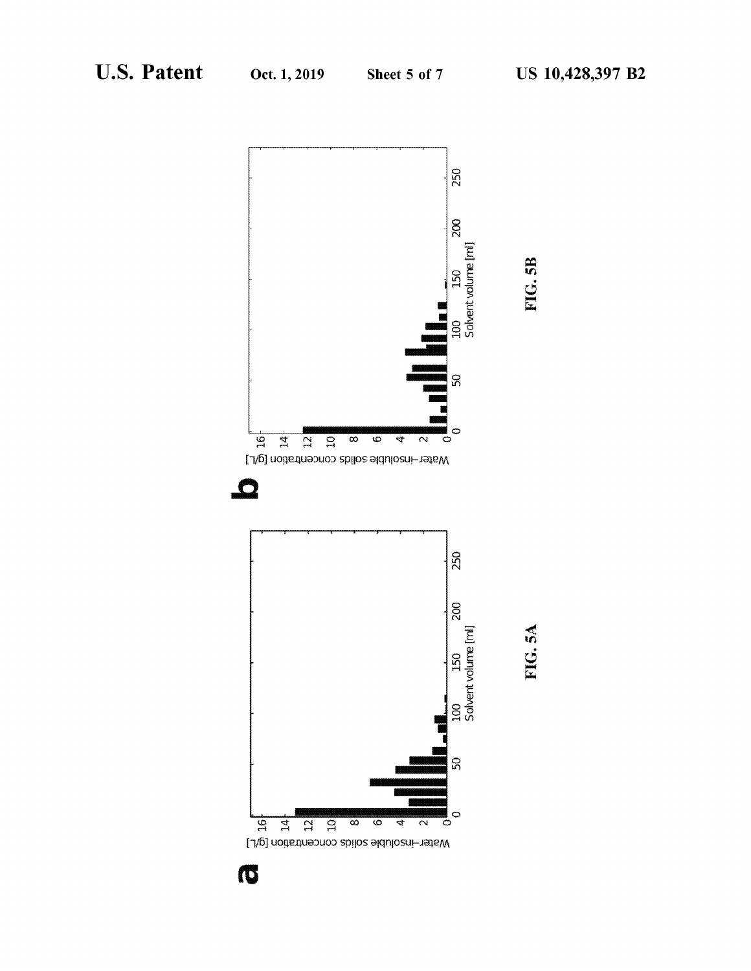

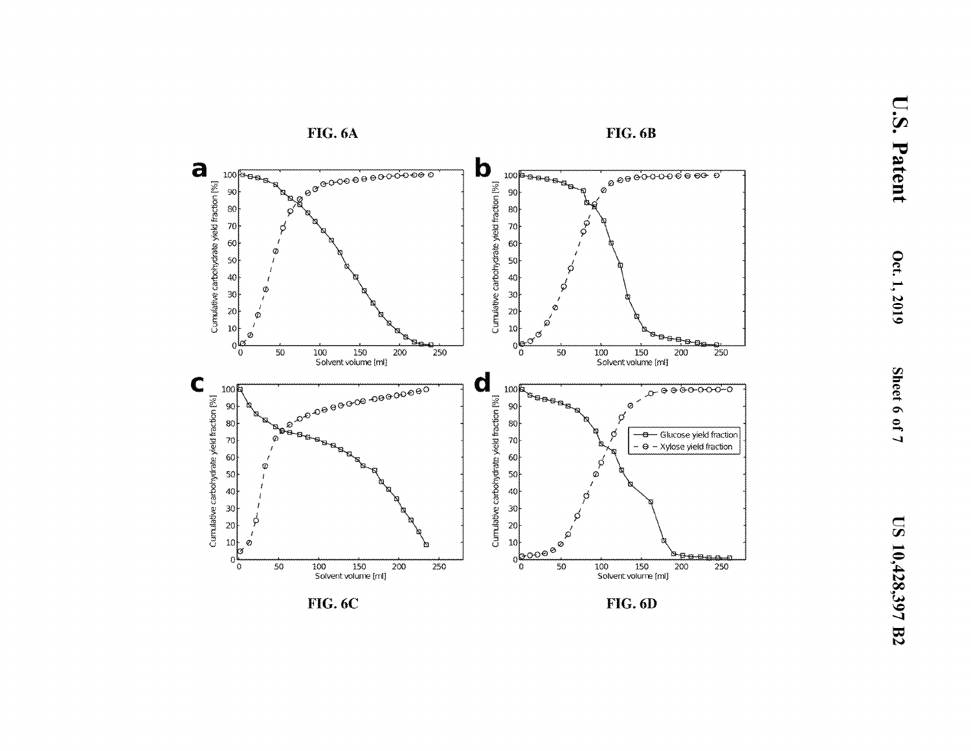

**FIG. 6C** 

**FIG. 6D**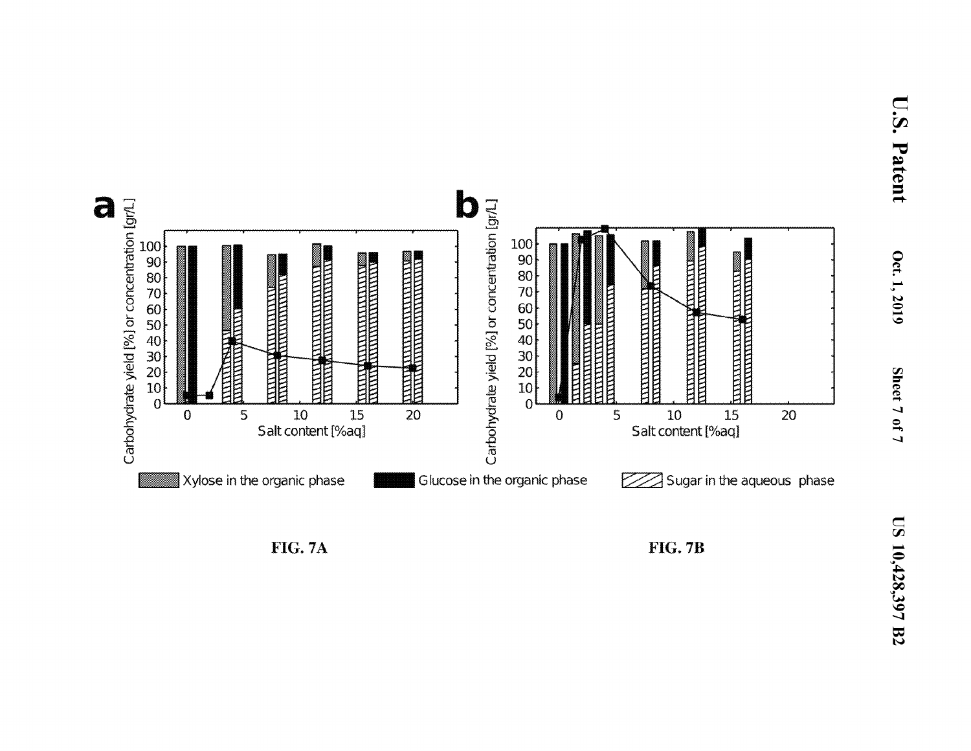



**FIG. 7A** 

**FIG. 7B**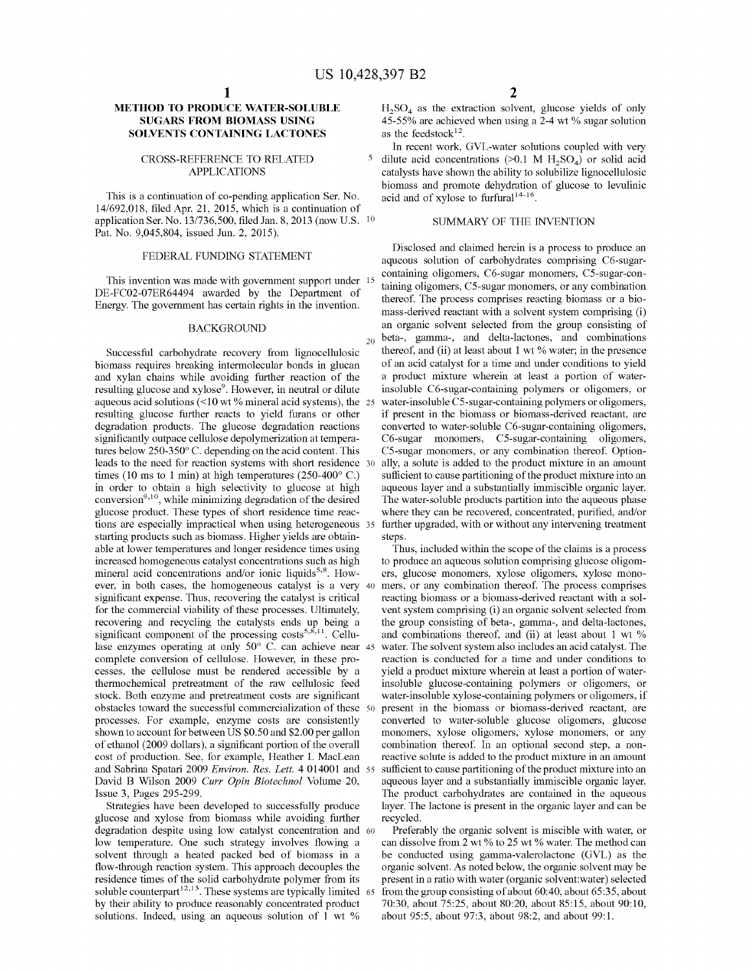# **METHOD TO PRODUCE WATER-SOLUBLE SUGARS FROM BIOMASS USING SOLVENTS CONTAINING LACTONES**

## CROSS-REFERENCE TO RELATED APPLICATIONS

This is a continuation of co-pending application Ser. No. 14/692,018, filed Apr. 21, 2015, which is a continuation of application Ser. No. 13/736,500, filed Jan. 8, 2013 (now U.S. 10 Pat. No. 9,045,804, issued Jun. 2, 2015).

# FEDERAL FUNDING STATEMENT

This invention was made with government support under 15 DE-FC02-07ER64494 awarded by the Department of Energy. The govermnent has certain rights in the invention.

## BACKGROUND

Successful carbohydrate recovery from lignocellulosic biomass requires breaking intermolecular bonds in glucan and xylan chains while avoiding further reaction of the resulting glucose and xylose<sup>9</sup>. However, in neutral or dilute aqueous acid solutions  $\ll 10$  wt % mineral acid systems), the 25 resulting glucose further reacts to yield furans or other degradation products. The glucose degradation reactions significantly outpace cellulose depolymerization at temperatures below 250-350° C. depending on the acid content. This leads to the need for reaction systems with short residence times (10 ms to 1 min) at high temperatures (250-400 $^{\circ}$  C.) in order to obtain a high selectivity to glucose at high conversion<sup>9,10</sup>, while minimizing degradation of the desired glucose product. These types of short residence time reactions are especially impractical when using heterogeneous 35 starting products such as biomass. Higher yields are obtainable at lower temperatures and longer residence times using increased homogeneous catalyst concentrations such as high mineral acid concentrations and/or ionic liquids<sup>5,8</sup>. However, in both cases, the homogeneous catalyst is a very significant expense. Thus, recovering the catalyst is critical for the commercial viability of these processes. Ultimately, recovering and recycling the catalysts ends up being a significant component of the processing  $costs^{5,8,11}$ . Cellulase enzymes operating at only 50° C. can achieve near 45 complete conversion of cellulose. However, in these processes, the cellulose must be rendered accessible by a thermochemical pretreatment of the raw cellulosic feed stock. Both enzyme and pretreatment costs are significant obstacles toward the successful commercialization of these processes. For example, enzyme costs are consistently shown to account for between US \$0.50 and \$2.00 per gallon of ethanol (2009 dollars), a significant portion of the overall cost of production. See, for example, Heather L MacLean and Sabrina Spatari 2009 *Environ. Res. Lett.* 4 014001 and David B Wilson 2009 *Curr Opin Biotechnol* Volume 20, Issue 3, Pages 295-299.

glucose and xylose from biomass while avoiding further degradation despite using low catalyst concentration and 60 low temperature. One such strategy involves flowing a solvent through a heated packed bed of biomass in a flow-through reaction system. This approach decouples the residence times of the solid carbohydrate polymer from its soluble counterpart $12,13$ . These systems are typically limited by their ability to produce reasonably concentrated product solutions. Indeed, using an aqueous solution of 1 wt %

 $H_2SO_4$  as the extraction solvent, glucose yields of only 45-55% are achieved when using a 2-4 wt % sugar solution as the feedstock $12$ .

In recent work, GVL-water solutions coupled with very 5 dilute acid concentrations  $(>0.1 \text{ M H, SO}_4)$  or solid acid catalysts have shown the ability to solubilize lignocellulosic biomass and promote dehydration of glucose to levulinic acid and of xylose to furfural<sup>14-16</sup>.

# SUMMARY OF THE INVENTION

Disclosed and claimed herein is a process to produce an aqueous solution of carbohydrates comprising C6-sugarcontaining oligomers, C6-sugar monomers, C5-sugar-containing oligomers, CS-sugar monomers, or any combination thereof. The process comprises reacting biomass or a biomass-derived reactant with a solvent system comprising (i) an organic solvent selected from the group consisting of  $_{20}$  beta-, gamma-, and delta-lactones, and combinations thereof, and (ii) at least about 1 wt % water; in the presence of an acid catalyst for a time and under conditions to yield a product mixture wherein at least a portion of waterinsoluble C6-sugar-containing polymers or oligomers, or water-insoluble C5-sugar-containing polymers or oligomers, if present in the biomass or biomass-derived reactant, are converted to water-soluble C6-sugar-containing oligomers, C6-sugar monomers, CS-sugar-containing oligomers, CS-sugar monomers, or any combination thereof. Optionally, a solute is added to the product mixture in an amount sufficient to cause partitioning of the product mixture into an aqueous layer and a substantially immiscible organic layer. The water-soluble products partition into the aqueous phase where they can be recovered, concentrated, purified, and/or further upgraded, with or without any intervening treatment steps.

Thus, included within the scope of the claims is a process to produce an aqueous solution comprising glucose oligomers, glucose monomers, xylose oligomers, xylose monomers, or any combination thereof. The process comprises reacting biomass or a biomass-derived reactant with a solvent system comprising (i) an organic solvent selected from the group consisting of beta-, gamma-, and delta-lactones, and combinations thereof, and (ii) at least about 1 wt % water. The solvent system also includes an acid catalyst. The reaction is conducted for a time and under conditions to yield a product mixture wherein at least a portion of waterinsoluble glucose-containing polymers or oligomers, or water-insoluble xylose-containing polymers or oligomers, if present in the biomass or biomass-derived reactant, are converted to water-soluble glucose oligomers, glucose monomers, xylose oligomers, xylose monomers, or any combination thereof. In an optional second step, a nonreactive solute is added to the product mixture in an amount sufficient to cause partitioning of the product mixture into an aqueous layer and a substantially immiscible organic layer. The product carbohydrates are contained in the aqueous Strategies have been developed to successfully produce layer. The lactone is present in the organic layer and can be recycled.

> Preferably the organic solvent is miscible with water, or can dissolve from 2 wt % to 25 wt % water. The method can be conducted using gamma-valerolactone (GVL) as the organic solvent. As noted below, the organic solvent may be present in a ratio with water ( organic solvent:water) selected from the group consisting of about 60:40, about 65:35, about 70:30, about 75:25, about 80:20, about 85:15, about 90:10, about 95:5, about 97:3, about 98:2, and about 99:1.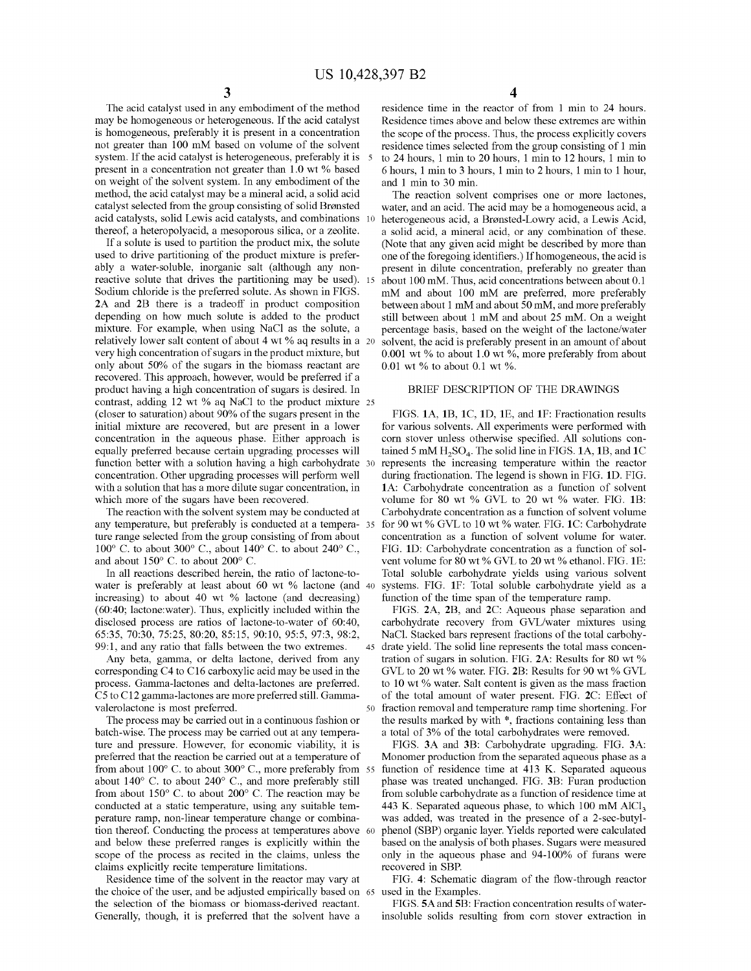The acid catalyst used in any embodiment of the method may be homogeneous or heterogeneous. If the acid catalyst is homogeneous, preferably it is present in a concentration not greater than 100 mM based on volume of the solvent system. If the acid catalyst is heterogeneous, preferably it is 5 present in a concentration not greater than 1.0 wt % based on weight of the solvent system. In any embodiment of the method, the acid catalyst may be a mineral acid, a solid acid catalyst selected from the group consisting of solid Bronsted acid catalysts, solid Lewis acid catalysts, and combinations 10 thereof, a heteropolyacid, a mesoporous silica, or a zeolite.

If a solute is used to partition the product mix, the solute used to drive partitioning of the product mixture is preferably a water-soluble, inorganic salt (although any nonreactive solute that drives the partitioning may be used). 15 Sodium chloride is the preferred solute. As shown in FIGS. **2A** and **2B** there is a tradeoff in product composition depending on how much solute is added to the product mixture. For example, when using NaCl as the solute, a relatively lower salt content of about 4 wt % aq results in a 20 very high concentration of sugars in the product mixture, but only about 50% of the sugars in the biomass reactant are recovered. This approach, however, would be preferred if a product having a high concentration of sugars is desired. In contrast, adding 12 wt % aq NaCl to the product mixture 25 (closer to saturation) about 90% of the sugars present in the initial mixture are recovered, but are present in a lower concentration in the aqueous phase. Either approach is equally preferred because certain upgrading processes will function better with a solution having a high carbohydrate 30 concentration. Other upgrading processes will perform well with a solution that has a more dilute sugar concentration, in which more of the sugars have been recovered.

The reaction with the solvent system may be conducted at any temperature, but preferably is conducted at a tempera- 35 ture range selected from the group consisting of from about 100 $^{\circ}$  C. to about 300 $^{\circ}$  C., about 140 $^{\circ}$  C. to about 240 $^{\circ}$  C., and about 150° C. to about 200° C.

In all reactions described herein, the ratio of lactone-towater is preferably at least about 60 wt % lactone (and 40 increasing) to about 40 wt % lactone (and decreasing) (60:40; lactone:water). Thus, explicitly included within the disclosed process are ratios of lactone-to-water of 60:40, 65:35, 70:30, 75:25, 80:20, 85:15, 90:10, 95:5, 97:3, 98:2, 99:1, and any ratio that falls between the two extremes.

Any beta, gamma, or delta lactone, derived from any corresponding C4 to C16 carboxylic acid may be used in the process. Gamma-lactones and delta-lactones are preferred. *CS* to C12 gamma-lactones are more preferred still. Gammavalerolactone is most preferred.

The process may be carried out in a continuous fashion or batch-wise. The process may be carried out at any temperature and pressure. However, for economic viability, it is preferred that the reaction be carried out at a temperature of from about 100° C. to about 300° C., more preferably from 55 about  $140^{\circ}$  C. to about  $240^{\circ}$  C., and more preferably still from about  $150^{\circ}$  C. to about  $200^{\circ}$  C. The reaction may be conducted at a static temperature, using any suitable temperature ramp, non-linear temperature change or combination thereof. Conducting the process at temperatures above 60 and below these preferred ranges is explicitly within the scope of the process as recited in the claims, unless the claims explicitly recite temperature limitations.

Residence time of the solvent in the reactor may vary at the choice of the user, and be adjusted empirically based on 65 the selection of the biomass or biomass-derived reactant. Generally, though, it is preferred that the solvent have a

4

residence time in the reactor of from 1 min to 24 hours. Residence times above and below these extremes are within the scope of the process. Thus, the process explicitly covers residence times selected from the group consisting of 1 min to 24 hours, 1 min to 20 hours, 1 min to 12 hours, 1 min to 6 hours, 1 min to 3 hours, 1 min to 2 hours, 1 min to 1 hour, and 1 min to 30 min.

The reaction solvent comprises one or more lactones, water, and an acid. The acid may be a homogeneous acid, a heterogeneous acid, a Bronsted-Lowry acid, a Lewis Acid, a solid acid, a mineral acid, or any combination of these. (Note that any given acid might be described by more than one of the foregoing identifiers.) If homogeneous, the acid is present in dilute concentration, preferably no greater than about 100 mM. Thus, acid concentrations between about 0.1 mM and about 100 mM are preferred, more preferably between about 1 mM and about 50 mM, and more preferably still between about 1 mM and about 25 mM. On a weight percentage basis, based on the weight of the lactone/water solvent, the acid is preferably present in an amount of about 0.001 wt % to about 1.0 wt %, more preferably from about 0.01 wt % to about 0.1 wt %.

# BRIEF DESCRIPTION OF THE DRAWINGS

FIGS. **lA, 1B, lC, lD, lE,** and **lF:** Fractionation results for various solvents. All experiments were performed with corn stover unless otherwise specified. All solutions contained 5 mM H<sub>2</sub>SO<sub>4</sub>. The solid line in FIGS. 1A, 1B, and 1C represents the increasing temperature within the reactor during fractionation. The legend is shown in FIG. **lD.** FIG. **lA:** Carbohydrate concentration as a function of solvent volume for 80 wt % GVL to 20 wt % water. FIG. **1B:**  Carbohydrate concentration as a function of solvent volume for 90 wt% GVL to 10 wt% water. FIG. **lC:** Carbohydrate concentration as a function of solvent volume for water. FIG. **lD:** Carbohydrate concentration as a function of solvent volume for 80 wt % GVL to 20 wt % ethanol. FIG. 1E: Total soluble carbohydrate yields using various solvent systems. FIG. 1F: Total soluble carbohydrate yield as a function of the time span of the temperature ramp.

FIGS. **2A, 2B,** and **2C:** Aqueous phase separation and carbohydrate recovery from GVL/water mixtures using NaCl. Stacked bars represent fractions of the total carbohy-45 drate yield. The solid line represents the total mass concentration of sugars in solution. FIG. **2A:** Results for 80 wt % GVL to 20 wt% water. FIG. **2B:** Results for 90 wt% GVL to 10 wt % water. Salt content is given as the mass fraction of the total amount of water present. FIG. **2C:** Effect of fraction removal and temperature ramp time shortening. For the results marked by with \*, fractions containing less than a total of 3% of the total carbohydrates were removed.

FIGS. **3A** and **3B:** Carbohydrate upgrading. FIG. **3A:**  Monomer production from the separated aqueous phase as a function of residence time at 413 K. Separated aqueous phase was treated unchanged. FIG. **3B:** Furan production from soluble carbohydrate as a function of residence time at 443 K. Separated aqueous phase, to which 100 mM  $AlCl<sub>3</sub>$ was added, was treated in the presence of a 2-sec-butylphenol (SBP) organic layer. Yields reported were calculated based on the analysis of both phases. Sugars were measured only in the aqueous phase and 94-100% of furans were recovered in SBP.

FIG. **4:** Schematic diagram of the flow-through reactor used in the Examples.

FIGS. **SA** and **5B:** Fraction concentration results of waterinsoluble solids resulting from com stover extraction in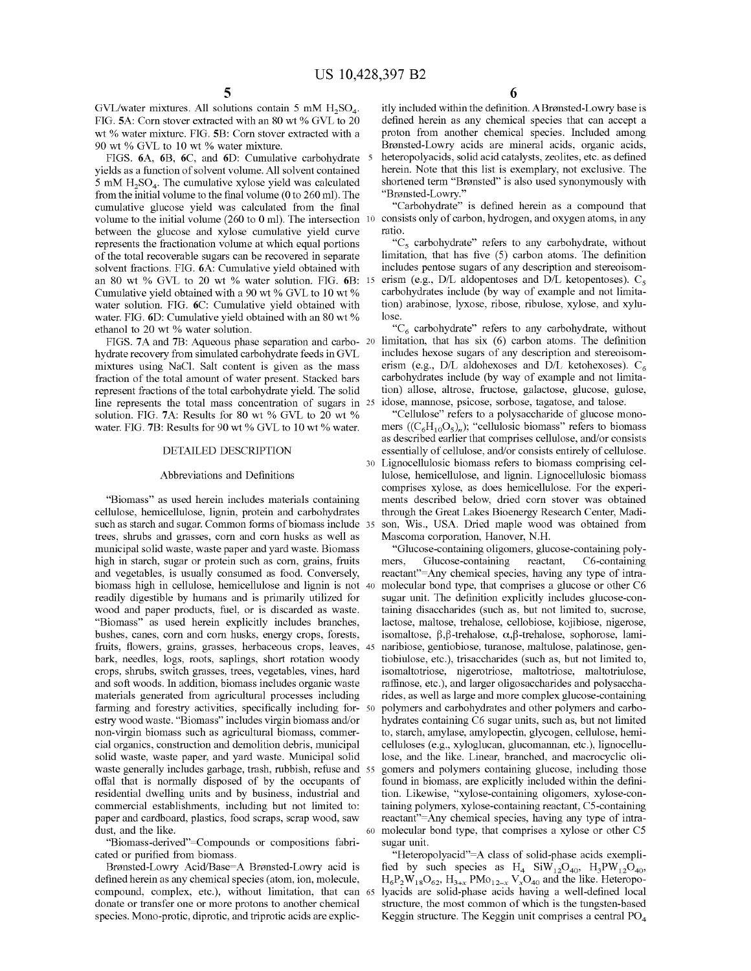GVL/water mixtures. All solutions contain 5 mM  $H_2SO_4$ . FIG. 5A: Corn stover extracted with an 80 wt % GVL to 20 wt% water mixture. FIG. **SB:** Corn stover extracted with a 90 wt % GVL to 10 wt % water mixture.

FIGS. **6A, 6B, 6C,** and **6D:** Cumulative carbohydrate yields as a function of solvent volume. All solvent contained 5 mM  $H_2SO_4$ . The cumulative xylose yield was calculated from the initial volume to the final volume (0 to 260 ml). The cumulative glucose yield was calculated from the final volume to the initial volume  $(260 \text{ to } 0 \text{ ml})$ . The intersection  $10$ between the glucose and xylose cumulative yield curve represents the fractionation volume at which equal portions of the total recoverable sugars can be recovered in separate solvent fractions. FIG. **6A:** Cumulative yield obtained with an 80 wt % GVL to 20 wt % water solution. FIG. **6B:**  Cumulative yield obtained with a 90 wt % GVL to 10 wt % water solution. FIG. **6C:** Cumulative yield obtained with water. FIG. 6D: Cumulative yield obtained with an 80 wt % ethanol to 20 wt % water solution.

FIGS. **7A** and **7B:** Aqueous phase separation and carbo- 20 hydrate recovery from simulated carbohydrate feeds in GVL mixtures using NaCl. Salt content is given as the mass fraction of the total amount of water present. Stacked bars represent fractions of the total carbohydrate yield. The solid line represents the total mass concentration of sugars in 25 solution. FIG. **7A:** Results for 80 wt % GVL to 20 wt % water. FIG. 7B: Results for 90 wt % GVL to 10 wt % water.

## DETAILED DESCRIPTION

#### Abbreviations and Definitions

"Biomass" as used herein includes materials containing cellulose, hemicellulose, lignin, protein and carbohydrates such as starch and sugar. Common forms of biomass include 35 trees, shrubs and grasses, corn and corn husks as well as municipal solid waste, waste paper and yard waste. Biomass high in starch, sugar or protein such as corn, grains, fruits and vegetables, is usually consumed as food. Conversely, biomass high in cellulose, hemicellulose and lignin is not readily digestible by humans and is primarily utilized for wood and paper products, fuel, or is discarded as waste. "Biomass" as used herein explicitly includes branches, bushes, canes, corn and corn husks, energy crops, forests, fruits, flowers, grains, grasses, herbaceous crops, leaves, bark, needles, logs, roots, saplings, short rotation woody crops, shrubs, switch grasses, trees, vegetables, vines, hard and soft woods. In addition, biomass includes organic waste materials generated from agricultural processes including farming and forestry activities, specifically including for- 50 estry wood waste. "Biomass" includes virgin biomass and/or non-virgin biomass such as agricultural biomass, commercial organics, construction and demolition debris, municipal solid waste, waste paper, and yard waste. Municipal solid waste generally includes garbage, trash, rubbish, refuse and offal that is normally disposed of by the occupants of residential dwelling units and by business, industrial and commercial establishments, including but not limited to: paper and cardboard, plastics, food scraps, scrap wood, saw dust, and the like.

"Biomass-derived"=Compounds or compositions fabricated or purified from biomass.

Bronsted-Lowry Acid/Base=A Bronsted-Lowry acid is defined herein as any chemical species ( atom, ion, molecule, compound, complex, etc.), without limitation, that can donate or transfer one or more protons to another chemical species. Mono-protic, diprotic, and triprotic acids are explic-

itly included within the definition. A Brønsted-Lowry base is defined herein as any chemical species that can accept a proton from another chemical species. Included among Bronsted-Lowry acids are mineral acids, organic acids, heteropolyacids, solid acid catalysts, zeolites, etc. as defined herein. Note that this list is exemplary, not exclusive. The shortened term "Bronsted" is also used synonymously with "Bronsted-Lowry."

"Carbohydrate" is defined herein as a compound that consists only of carbon, hydrogen, and oxygen atoms, in any ratio.

*"Cs* carbohydrate" refers to any carbohydrate, without limitation, that has five (5) carbon atoms. The definition includes pentose sugars of any description and stereoisomerism (e.g., D/L aldopentoses and D/L ketopentoses).  $C_5$ carbohydrates include (by way of example and not limitation) arabinose, lyxose, ribose, ribulose, xylose, and xylulose.

" $C_6$  carbohydrate" refers to any carbohydrate, without limitation, that has six (6) carbon atoms. The definition includes hexose sugars of any description and stereoisomerism (e.g.,  $D/L$  aldohexoses and  $D/L$  ketohexoses).  $C_6$ carbohydrates include (by way of example and not limitation) allose, altrose, fructose, galactose, glucose, gulose, idose, mamiose, psicose, sorbose, tagatose, and talose.

"Cellulose" refers to a polysaccharide of glucose monomers  $((C_6H_{10}O_5)_n)$ ; "cellulosic biomass" refers to biomass as described earlier that comprises cellulose, and/or consists essentially of cellulose, and/or consists entirely of cellulose. 30 Lignocellulosic biomass refers to biomass comprising cellulose, hemicellulose, and lignin. Lignocellulosic biomass comprises xylose, as does hemicellulose. For the experiments described below, dried corn stover was obtained through the Great Lakes Bioenergy Research Center, Madison, Wis., USA. Dried maple wood was obtained from Mascoma corporation, Hanover, N.H.

"Glucose-containing oligomers, glucose-containing polymers, Glucose-containing reactant, C6-containing reactant"=Any chemical species, having any type of intramolecular bond type, that comprises a glucose or other C6 sugar unit. The definition explicitly includes glucose-containing disaccharides (such as, but not limited to, sucrose, lactose, maltose, trehalose, cellobiose, kojibiose, nigerose, isomaltose,  $\beta$ , $\beta$ -trehalose,  $\alpha$ , $\beta$ -trehalose, sophorose, laminaribiose, gentiobiose, turanose, maltulose, palatinose, gentiobiulose, etc.), trisaccharides (such as, but not limited to, isomaltotriose, nigerotriose, maltotriose, maltotriulose, raffinose, etc.), and larger oligosaccharides and polysaccharides, as well as large and more complex glucose-containing 50 polymers and carbohydrates and other polymers and carbohydrates containing C6 sugar units, such as, but not limited to, starch, amylase, amylopectin, glycogen, cellulose, hemicelluloses (e.g., xyloglucan, glucomannan, etc.), lignocellulose, and the like. Linear, branched, and macrocyclic oligomers and polymers containing glucose, including those found in biomass, are explicitly included within the definition. Likewise, "xylose-containing oligomers, xylose-containing polymers, xylose-containing reactant, CS-containing reactant"=Any chemical species, having any type of intra-60 molecular bond type, that comprises a xylose or other *CS*  sugar unit.

"Heteropolyacid"=A class of solid-phase acids exemplified by such species as  $H_4$  Si $W_{12}O_{40}$ ,  $H_3PW_{12}O_{40}$ ,  $H_6P_2W_{18}O_{62}$ ,  $H_{3+x}$  PMo<sub>12-x</sub> V<sub>x</sub>O<sub>40</sub> and the like. Heteropolyacids are solid-phase acids having a well-defined local structure, the most common of which is the tungsten-based Keggin structure. The Keggin unit comprises a central PO<sub>4</sub>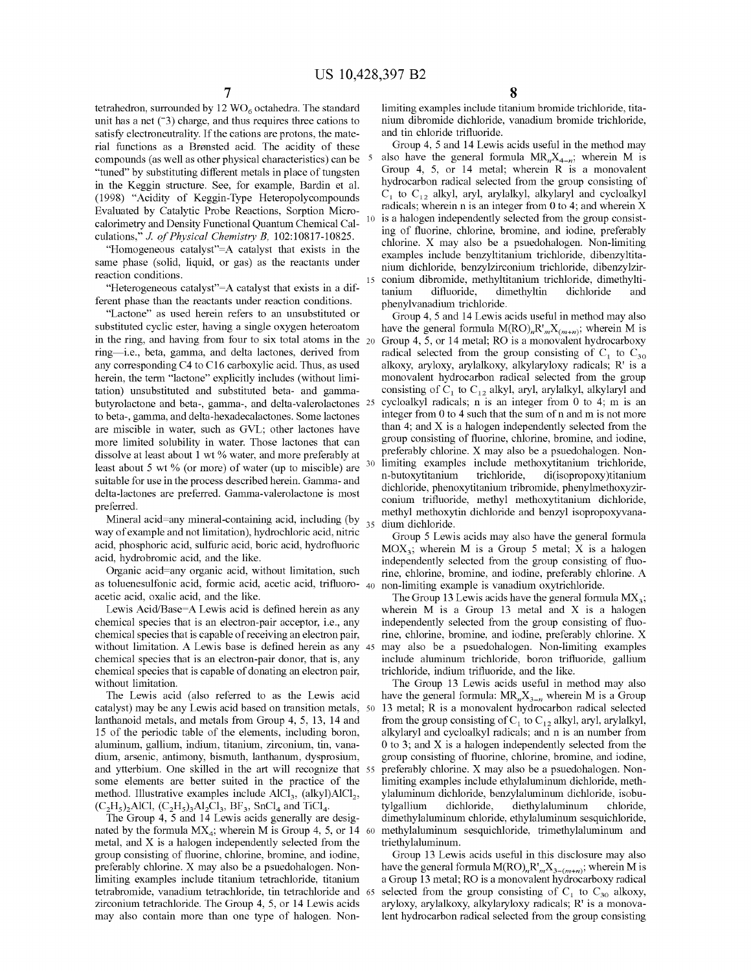tetrahedron, surrounded by 12  $\rm{WO}_6$  octahedra. The standard unit has a net  $(3)$  charge, and thus requires three cations to satisfy electroneutrality. If the cations are protons, the material functions as a Bronsted acid. The acidity of these compounds ( as well as other physical characteristics) can be 5 "tuned" by substituting different metals in place of tungsten in the Keggin structure. See, for example, Bardin et al. (1998) "Acidity of Keggin-Type Heteropolycompounds Evaluated by Catalytic Probe Reactions, Sorption Microcalorimetry and Density Functional Quantum Chemical Cal- <sup>10</sup> culations," *J. of Physical Chemistry B,* 102:10817-10825.

"Homogeneous catalyst"=A catalyst that exists in the same phase (solid, liquid, or gas) as the reactants under reaction conditions.

"Heterogeneous catalyst"=A catalyst that exists in a different phase than the reactants under reaction conditions.

"Lactone" as used herein refers to an unsubstituted or substituted cyclic ester, having a single oxygen heteroatom in the ring, and having from four to six total atoms in the  $_{20}$ ring—i.e., beta, gamma, and delta lactones, derived from any corresponding C4 to C16 carboxylic acid. Thus, as used herein, the term "lactone" explicitly includes (without limitation) unsubstituted and substituted beta- and gammabutyrolactone and beta-, gamma-, and delta-valerolactones 25 to beta-, gamma, and delta-hexadecalactones. Some lactones are miscible in water, such as GVL; other lactones have more limited solubility in water. Those lactones that can dissolve at least about 1 wt % water, and more preferably at least about 5 wt % (or more) of water (up to miscible) are suitable for use in the process described herein. Gamma- and delta-lactones are preferred. Gamma-valerolactone is most preferred.

Mineral acid=any mineral-containing acid, including (by 35 way of example and not limitation), hydrochloric acid, nitric acid, phosphoric acid, sulfuric acid, boric acid, hydrofluoric acid, hydrobromic acid, and the like.

Organic acid=any organic acid, without limitation, such as toluenesulfonic acid, formic acid, acetic acid, trifluoro- 40 acetic acid, oxalic acid, and the like.

Lewis Acid/Base=A Lewis acid is defined herein as any chemical species that is an electron-pair acceptor, i.e., any chemical species that is capable of receiving an electron pair, without limitation. A Lewis base is defined herein as any 45 chemical species that is an electron-pair donor, that is, any chemical species that is capable of donating an electron pair, without limitation.

catalyst) may be any Lewis acid based on transition metals, lanthanoid metals, and metals from Group 4, 5, 13, 14 and 15 of the periodic table of the elements, including boron, aluminum, gallium, indium, titanium, zirconium, tin, vanadium, arsenic, antimony, bismuth, lanthanum, dysprosium, and ytterbium. One skilled in the art will recognize that some elements are better suited in the practice of the method. Illustrative examples include  $AICI_3$ , (alkyl) $AICI_2$ ,  $(C_2H_5)$ , AlCl,  $(C_2H_5)$ , Al<sub>2</sub>Cl<sub>3</sub>, BF<sub>3</sub>, SnCl<sub>4</sub> and TiCl<sub>4</sub>.

The Group 4, 5 and 14 Lewis acids generally are designated by the formula  $MX_4$ ; wherein M is Group 4, 5, or 14 60 metal, and X is a halogen independently selected from the group consisting of fluorine, chlorine, bromine, and iodine, preferably chlorine. X may also be a psuedohalogen. Nonlimiting examples include titanium tetrachloride, titanium tetrabromide, vanadium tetrachloride, tin tetrachloride and zirconium tetrachloride. The Group 4, 5, or 14 Lewis acids may also contain more than one type of halogen. Non8

limiting examples include titanium bromide trichloride, titanium dibromide dichloride, vanadium bromide trichloride, and tin chloride trifluoride.

Group 4, 5 and 14 Lewis acids useful in the method may also have the general formula  $MR_nX_{4-n}$ ; wherein M is Group 4, 5, or 14 metal; wherein R is a monovalent hydrocarbon radical selected from the group consisting of  $C_1$  to  $C_{12}$  alkyl, aryl, arylalkyl, alkylaryl and cycloalkyl radicals; wherein  $n$  is an integer from 0 to 4; and wherein  $X$ is a halogen independently selected from the group consisting of fluorine, chlorine, bromine, and iodine, preferably chlorine. X may also be a psuedohalogen. Non-limiting examples include benzyltitanium trichloride, dibenzyltitanium dichloride, benzylzirconium trichloride, dibenzylzir conium dibromide, methyltitanium trichloride, dimethyltitanium difluoride, dimethyltin dichloride and phenylvanadium trichloride.

Group 4, 5 and 14 Lewis acids useful in method may also have the general formula  $M(RO)_nR'_{m}X_{(m+n)}$ ; wherein M is Group 4, 5, or 14 metal; RO is a monovalent hydrocarboxy radical selected from the group consisting of  $C_1$  to  $C_{30}$ alkoxy, aryloxy, arylalkoxy, alkylaryloxy radicals; R' is a monovalent hydrocarbon radical selected from the group consisting of  $C_1$  to  $C_{12}$  alkyl, aryl, arylalkyl, alkylaryl and cycloalkyl radicals; n is an integer from 0 to 4; m is an integer from 0 to 4 such that the sum of n and m is not more than 4; and X is a halogen independently selected from the group consisting of fluorine, chlorine, bromine, and iodine, preferably chlorine. X may also be a psuedohalogen. Nonlimiting examples include methoxytitanium trichloride, n-butoxytitanium trichloride, di(isopropoxy)titanium dichloride, phenoxytitanium tribromide, phenylmethoxyzirconium trifluoride, methyl methoxytitanium dichloride, methyl methoxytin dichloride and benzyl isopropoxyvanadium dichloride.

Group 5 Lewis acids may also have the general formula  $MOX<sub>3</sub>$ ; wherein M is a Group 5 metal; X is a halogen independently selected from the group consisting of fluorine, chlorine, bromine, and iodine, preferably chlorine. A non-limiting example is vanadium oxytrichloride.

The Group 13 Lewis acids have the general formula  $MX_3$ ; wherein M is a Group 13 metal and X is a halogen independently selected from the group consisting of fluorine, chlorine, bromine, and iodine, preferably chlorine. X may also be a psuedohalogen. Non-limiting examples include aluminum trichloride, boron trifluoride, gallium trichloride, indium trifluoride, and the like.

The Group 13 Lewis acids useful in method may also The Lewis acid (also referred to as the Lewis acid have the general formula:  $MR_nX_{3-n}$  wherein M is a Group 13 metal; R is a monovalent hydrocarbon radical selected from the group consisting of  $C_1$  to  $C_{12}$  alkyl, aryl, arylalkyl, alkylaryl and cycloalkyl radicals; and n is an number from  $0$  to 3; and X is a halogen independently selected from the group consisting of fluorine, chlorine, bromine, and iodine, preferably chlorine. X may also be a psuedohalogen. Nonlimiting examples include ethylaluminum dichloride, methylaluminum dichloride, benzylaluminum dichloride, isobutylgallium dichloride, diethylaluminum chloride, dimethylaluminum chloride, ethylaluminum sesquichloride, 60 methylaluminum sesquichloride, trimethylaluminum and triethylaluminum.

> Group 13 Lewis acids useful in this disclosure may also have the general formula  $M(RO)_nR^r{}_{m}X_{3-(m+n)}$ ; wherein M is a Group 13 metal; RO is a monovalent hydrocarboxy radical selected from the group consisting of  $C_1$  to  $C_{30}$  alkoxy, aryloxy, arylalkoxy, alkylaryloxy radicals; R' is a monovalent hydrocarbon radical selected from the group consisting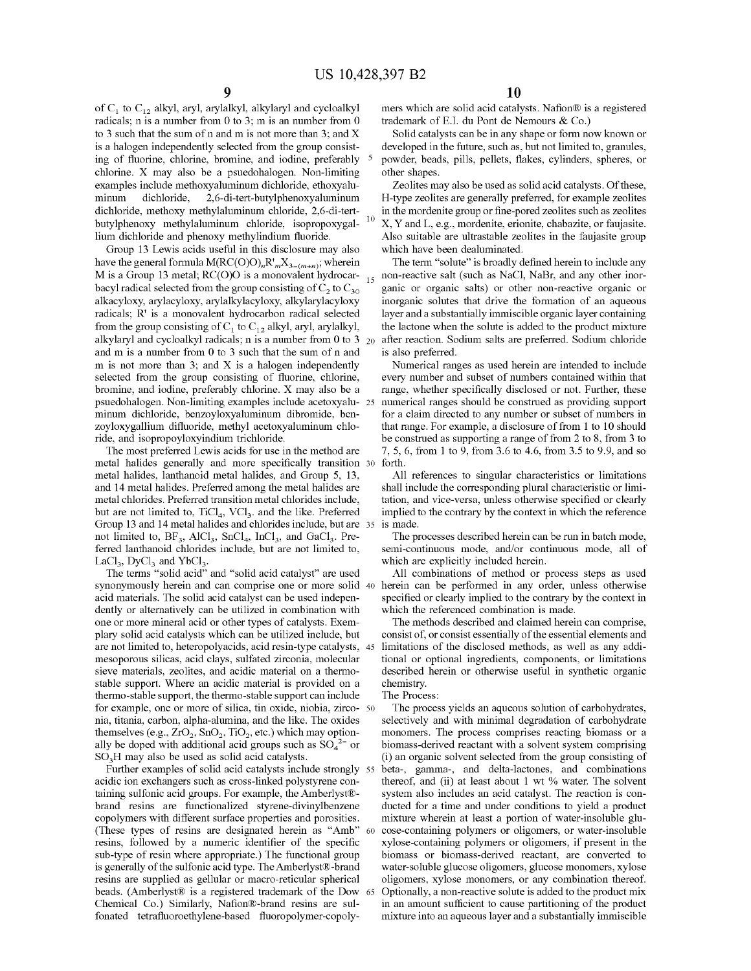of  $C_1$  to  $C_{12}$  alkyl, aryl, arylalkyl, alkylaryl and cycloalkyl radicals; n is a number from  $0$  to  $3$ ; m is an number from  $0$ to 3 such that the sum of n and m is not more than 3; and X is a halogen independently selected from the group consisting of fluorine, chlorine, bromine, and iodine, preferably chlorine. X may also be a psuedohalogen. Non-limiting examples include methoxyaluminum dichloride, ethoxyaluminum dichloride, 2,6-di-tert-butylphenoxyaluminum dichloride, methoxy methylaluminum chloride, 2,6-di-tertbutylphenoxy methylaluminum chloride, isopropoxygallium dichloride and phenoxy methylindium fluoride.

Group 13 Lewis acids useful in this disclosure may also have the general formula  $M(RC(O)O)<sub>n</sub>R'<sub>m</sub>X<sub>3-(m+n)</sub>$ ; wherein M is a Group 13 metal; RC(O)O is a monovalent hydrocar- $_{15}$ bacyl radical selected from the group consisting of  $C_2$  to  $C_{30}$ alkacyloxy, arylacyloxy, arylalkylacyloxy, alkylarylacyloxy radicals; R' is a monovalent hydrocarbon radical selected from the group consisting of  $C_1$  to  $C_{12}$  alkyl, aryl, arylalkyl, alkylaryl and cycloalkyl radicals; n is a number from 0 to 3  $_{20}$ and m is a number from 0 to 3 such that the sum of n and m is not more than 3; and  $X$  is a halogen independently selected from the group consisting of fluorine, chlorine, bromine, and iodine, preferably chlorine. X may also be a psuedohalogen. Non-limiting examples include acetoxyaluminum dichloride, benzoyloxyaluminum dibromide, benzoyloxygallium difluoride, methyl acetoxyaluminum chloride, and isopropoyloxyindium trichloride.

metal halides generally and more specifically transition metal halides, lanthanoid metal halides, and Group 5, 13, and 14 metal halides. Preferred among the metal halides are metal chlorides. Preferred transition metal chlorides include, but are not limited to,  $TiCl<sub>4</sub>$ ,  $VCI<sub>3</sub>$ . and the like. Preferred Group 13 and 14 metal halides and chlorides include, but are 35 is made. not limited to,  $BF_3$ ,  $AICl_3$ ,  $SnCl_4$ ,  $InCl_3$ , and  $GaCl_3$ . Preferred lanthanoid chlorides include, but are not limited to,  $LaCl<sub>3</sub>$ ,  $DyCl<sub>3</sub>$  and  $YbCl<sub>3</sub>$ .

The terms "solid acid" and "solid acid catalyst" are used synonymously herein and can comprise one or more solid 40 herein can be performed in any order, unless otherwise acid materials. The solid acid catalyst can be used independently or alternatively can be utilized in combination with one or more mineral acid or other types of catalysts. Exemplary solid acid catalysts which can be utilized include, but are not limited to, heteropolyacids, acid resin-type catalysts, 45 mesoporous silicas, acid clays, sulfated zirconia, molecular sieve materials, zeolites, and acidic material on a thermostable support. Where an acidic material is provided on a thermo-stable support, the thermo-stable support can include for example, one or more of silica, tin oxide, niobia, zirco- <sup>50</sup> nia, titania, carbon, alpha-alumina, and the like. The oxides themselves (e.g.,  $ZrO_2$ ,  $SnO_2$ ,  $TiO_2$ , etc.) which may optionally be doped with additional acid groups such as  $SO_4^2$  or  $SO<sub>3</sub>H$  may also be used as solid acid catalysts.

Further examples of solid acid catalysts include strongly 55 acidic ion exchangers such as cross-linked polystyrene containing sulfonic acid groups. For example, the Amberlyst® brand resins are functionalized styrene-divinylbenzene copolymers with different surface properties and porosities. (These types of resins are designated herein as "Amb" 60 resins, followed by a numeric identifier of the specific sub-type of resin where appropriate.) The functional group is generally of the sulfonic acid type. TheAmberlyst®-brand resins are supplied as gellular or macro-reticular spherical beads. (Amberlyst® is a registered trademark of the Dow 65 Chemical Co.) Similarly, Nafion®-brand resins are sulfonated tetrafluoroethylene-based fluoropolymer-copoly-

mers which are solid acid catalysts. Nafion® is a registered trademark of E.I. du Pont de Nemours & Co.)

Solid catalysts can be in any shape or form now known or developed in the future, such as, but not limited to, granules, 5 powder, beads, pills, pellets, flakes, cylinders, spheres, or other shapes.

Zeolites may also be used as solid acid catalysts. Of these, H-type zeolites are generally preferred, for example zeolites in the mordenite group or fine-pored zeolites such as zeolites 10 X, Y and L, e.g., mordenite, erionite, chabazite, or faujasite. Also suitable are ultrastable zeolites in the faujasite group which have been dealuminated.

The term "solute" is broadly defined herein to include any non-reactive salt (such as NaCl, NaBr, and any other inorganic or organic salts) or other non-reactive organic or inorganic solutes that drive the formation of an aqueous layer and a substantially immiscible organic layer containing the lactone when the solute is added to the product mixture after reaction. Sodium salts are preferred. Sodium chloride is also preferred.

Numerical ranges as used herein are intended to include every number and subset of numbers contained within that range, whether specifically disclosed or not. Further, these numerical ranges should be construed as providing support for a claim directed to any number or subset of numbers in that range. For example, a disclosure of from 1 to 10 should be construed as supporting a range of from 2 to 8, from 3 to The most preferred Lewis acids for use in the method are  $7, 5, 6$ , from 1 to 9, from 3.6 to 4.6, from 3.5 to 9.9, and so forth.

> All references to singular characteristics or limitations shall include the corresponding plural characteristic or limitation, and vice-versa, unless otherwise specified or clearly implied to the contrary by the context in which the reference

> The processes described herein can be run in batch mode, semi-continuous mode, and/or continuous mode, all of which are explicitly included herein.

> All combinations of method or process steps as used specified or clearly implied to the contrary by the context in which the referenced combination is made.

> The methods described and claimed herein can comprise, consist of, or consist essentially of the essential elements and limitations of the disclosed methods, as well as any additional or optional ingredients, components, or limitations described herein or otherwise useful in synthetic organic chemistry.

The Process:

The process yields an aqueous solution of carbohydrates, selectively and with minimal degradation of carbohydrate monomers. The process comprises reacting biomass or a biomass-derived reactant with a solvent system comprising (i) an organic solvent selected from the group consisting of beta-, gamma-, and delta-lactones, and combinations thereof, and (ii) at least about 1 wt % water. The solvent system also includes an acid catalyst. The reaction is conducted for a time and under conditions to yield a product mixture wherein at least a portion of water-insoluble glucose-containing polymers or oligomers, or water-insoluble xylose-containing polymers or oligomers, if present in the biomass or biomass-derived reactant, are converted to water-soluble glucose oligomers, glucose monomers, xylose oligomers, xylose monomers, or any combination thereof. Optionally, a non-reactive solute is added to the product mix in an amount sufficient to cause partitioning of the product mixture into an aqueous layer and a substantially immiscible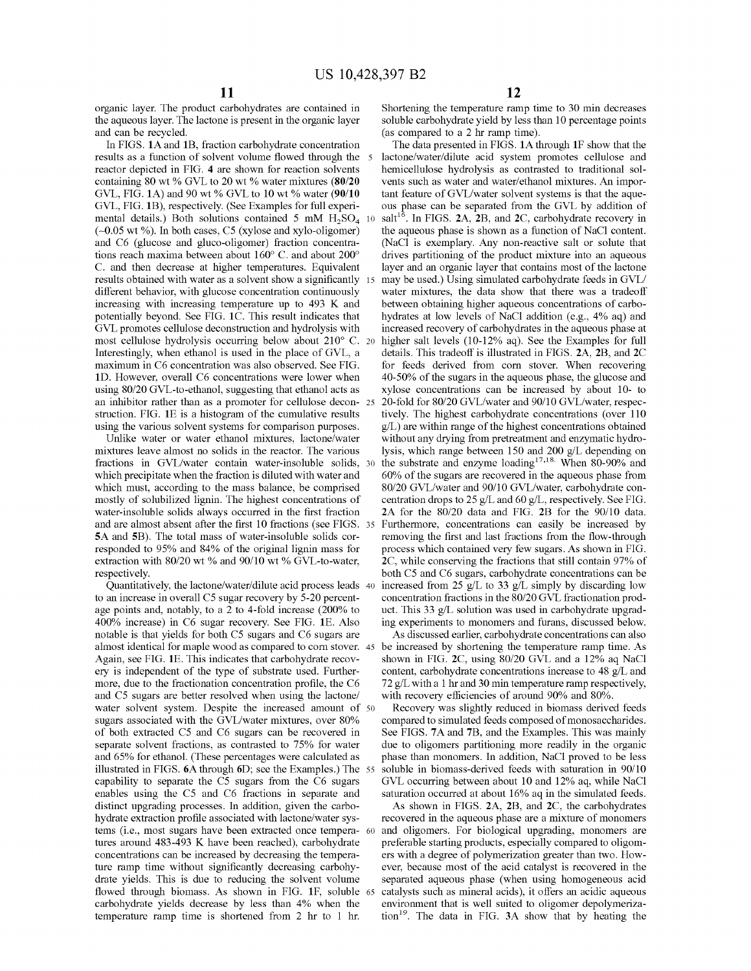organic layer. The product carbohydrates are contained in the aqueous layer. The lactone is present in the organic layer and can be recycled.

In FIGS. **lA** and **1B,** fraction carbohydrate concentration results as a function of solvent volume flowed through the 5 reactor depicted in FIG. **4** are shown for reaction solvents containing 80 wt % GVL to 20 wt % water mixtures **(80/20**  GVL, FIG. **lA)** and 90 wt% GVL to 10 wt% water **(90/10**  GVL, FIG. **1B),** respectively. (See Examples for full experimental details.) Both solutions contained 5 mM  $H_2SO_4$  10 (-0.05 wt%). In both cases, *CS* (xylose and xylo-oligomer) and C6 (glucose and gluco-oligomer) fraction concentrations reach maxima between about 160° C. and about 200° results obtained with water as a solvent show a significantly different behavior, with glucose concentration continuously increasing with increasing temperature up to 493 K and potentially beyond. See FIG. **lC.** This result indicates that GVL promotes cellulose deconstruction and hydrolysis with most cellulose hydrolysis occurring below about 210° C. Interestingly, when ethanol is used in the place of GVL, a maximum in C6 concentration was also observed. See FIG. 1D. However, overall C6 concentrations were lower when using 80/20 GVL-to-ethanol, suggesting that ethanol acts as an inhibitor rather than as a promoter for cellulose deconstruction. FIG. **lE** is a histogram of the cumulative results using the various solvent systems for comparison purposes.

Unlike water or water ethanol mixtures, lactone/water mixtures leave almost no solids in the reactor. The various fractions in GVL/water contain water-insoluble solids, which precipitate when the fraction is diluted with water and which must, according to the mass balance, be comprised mostly of solubilized lignin. The highest concentrations of water-insoluble solids always occurred in the first fraction and are almost absent after the first 10 fractions (see FIGS. 35 **SA** and **5B).** The total mass of water-insoluble solids corresponded to 95% and 84% of the original lignin mass for extraction with 80/20 wt % and 90/10 wt % GVL-to-water, respectively.

Quantitatively, the lactone/water/dilute acid process leads 40 to an increase in overall *CS* sugar recovery by 5-20 percentage points and, notably, to a 2 to 4-fold increase (200% to 400% increase) in C6 sugar recovery. See FIG. **lE.** Also notable is that yields for both *CS* sugars and C6 sugars are almost identical for maple wood as compared to com stover. 45 Again, see FIG. **lE.** This indicates that carbohydrate recovery is independent of the type of substrate used. Furthermore, due to the fractionation concentration profile, the C6 and *CS* sugars are better resolved when using the lactone/ water solvent system. Despite the increased amount of 50 sugars associated with the GVL/water mixtures, over 80% of both extracted *CS* and C6 sugars can be recovered in separate solvent fractions, as contrasted to 75% for water and 65% for ethanol. (These percentages were calculated as illustrated in FIGS. **6A** through **6D;** see the Examples.) The 55 capability to separate the *CS* sugars from the C6 sugars enables using the *CS* and C6 fractions in separate and distinct upgrading processes. In addition, given the carbohydrate extraction profile associated with lactone/water systems (i.e., most sugars have been extracted once tempera- 60 tures around 483-493 K have been reached), carbohydrate concentrations can be increased by decreasing the temperature ramp time without significantly decreasing carbohydrate yields. This is due to reducing the solvent volume flowed through biomass. As shown in FIG. **lF,** soluble 65 carbohydrate yields decrease by less than 4% when the temperature ramp time is shortened from 2 hr to 1 hr.

Shortening the temperature ramp time to 30 min decreases soluble carbohydrate yield by less than 10 percentage points (as compared to a 2 hr ramp time).

The data presented in FIGS. **lA** through **lF** show that the lactone/water/dilute acid system promotes cellulose and hemicellulose hydrolysis as contrasted to traditional solvents such as water and water/ethanol mixtures. An important feature of GVL/water solvent systems is that the aqueous phase can be separated from the GVL by addition of salt<sup>16</sup>. In FIGS. 2A, 2B, and 2C, carbohydrate recovery in the aqueous phase is shown as a function of NaCl content. (NaCl is exemplary. Any non-reactive salt or solute that drives partitioning of the product mixture into an aqueous C. and then decrease at higher temperatures. Equivalent layer and an organic layer that contains most of the lactone may be used.) Using simulated carbohydrate feeds in GVL/ water mixtures, the data show that there was a tradeoff between obtaining higher aqueous concentrations of carbohydrates at low levels of NaCl addition (e.g., 4% aq) and increased recovery of carbohydrates in the aqueous phase at higher salt levels (10-12% aq). See the Examples for full details. This tradeoff is illustrated in FIGS. **2A, 2B,** and **2C**  for feeds derived from com stover. When recovering 40-50% of the sugars in the aqueous phase, the glucose and xylose concentrations can be increased by about 10- to 20-fold for 80/20 GVL/water and 90/10 GVL/water, respectively. The highest carbohydrate concentrations (over 110 g/L) are within range of the highest concentrations obtained without any drying from pretreatment and enzymatic hydrolysis, which range between 150 and 200 g/L depending on 30 the substrate and enzyme loading<sup>17,18</sup> When 80-90% and 60% of the sugars are recovered in the aqueous phase from 80/20 GVL/water and 90/10 GVL/water, carbohydrate concentration drops to 25 g/L and 60 g/L, respectively. See FIG. **2A** for the 80/20 data and FIG. **2B** for the 90/10 data. Furthermore, concentrations can easily be increased by removing the first and last fractions from the flow-through process which contained very few sugars. As shown in FIG. **2C,** while conserving the fractions that still contain 97% of both *CS* and C6 sugars, carbohydrate concentrations can be increased from 25 g/L to 33 g/L simply by discarding low concentration fractions in the 80/20 GVL fractionation product. This 33 g/L solution was used in carbohydrate upgrading experiments to monomers and furans, discussed below.

As discussed earlier, carbohydrate concentrations can also be increased by shortening the temperature ramp time. As shown in FIG. **2C,** using 80/20 GVL and a 12% aq NaCl content, carbohydrate concentrations increase to 48 g/L and 72 g/L with a 1 hr and 30 min temperature ramp respectively, with recovery efficiencies of around 90% and 80%.

Recovery was slightly reduced in biomass derived feeds compared to simulated feeds composed of monosaccharides. See FIGS. 7A and 7B, and the Examples. This was mainly due to oligomers partitioning more readily in the organic phase than monomers. In addition, NaCl proved to be less soluble in biomass-derived feeds with saturation in 90/10 GVL occurring between about 10 and 12% aq, while NaCl saturation occurred at about 16% aq in the simulated feeds.

As shown in FIGS. **2A, 2B,** and **2C,** the carbohydrates recovered in the aqueous phase are a mixture of monomers and oligomers. For biological upgrading, monomers are preferable starting products, especially compared to oligomers with a degree of polymerization greater than two. However, because most of the acid catalyst is recovered in the separated aqueous phase (when using homogeneous acid catalysts such as mineral acids), it offers an acidic aqueous environment that is well suited to oligomer depolymerization19. The data in FIG. **3A** show that by heating the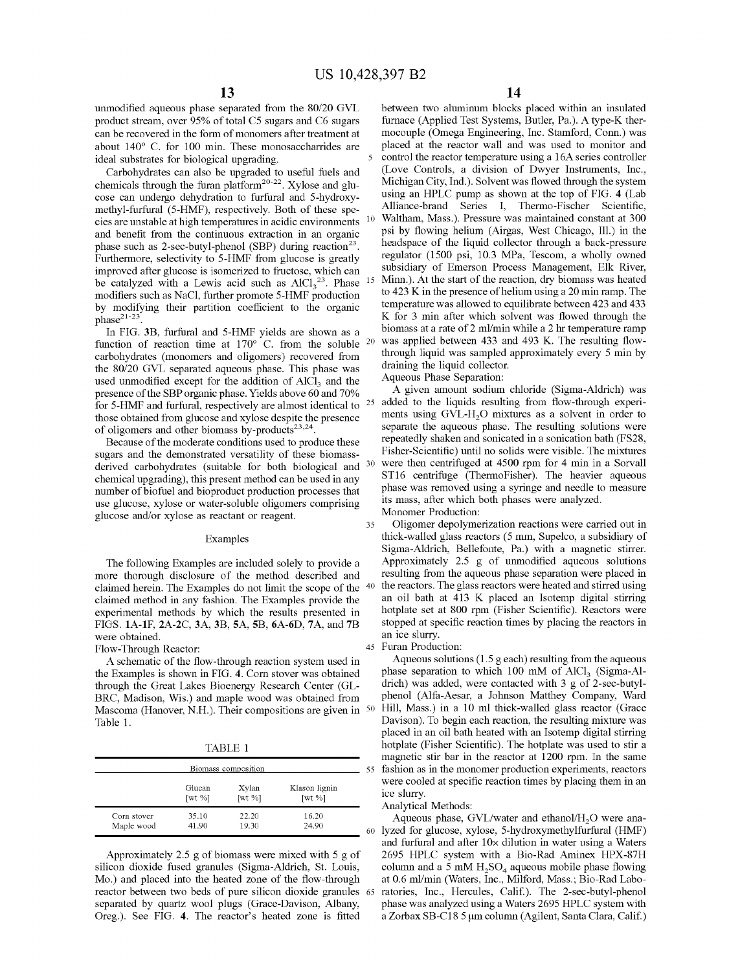unmodified aqueous phase separated from the 80/20 GVL product stream, over 95% of total *CS* sugars and C6 sugars can be recovered in the form of monomers after treatment at about 140° C. for 100 min. These monosaccharrides are ideal substrates for biological upgrading.

Carbohydrates can also be upgraded to useful fuels and chemicals through the furan platform<sup>20-22</sup>. Xylose and glucose can undergo dehydration to furfural and 5-hydroxymethyl-furfural (5-HMF), respectively. Both of these species are unstable at high temperatures in acidic environments and benefit from the continuous extraction in an organic phase such as 2-sec-butyl-phenol (SBP) during reaction<sup>23</sup>. Furthermore, selectivity to 5-HMF from glucose is greatly improved after glucose is isomerized to fructose, which can be catalyzed with a Lewis acid such as  $AICl<sub>3</sub><sup>23</sup>$ . Phase modifiers such as NaCl, further promote 5-HMF production by modifying their partition coefficient to the organic phase<sup>21-23</sup>

In FIG. **3B,** furfural and 5-HMF yields are shown as a function of reaction time at  $170^{\circ}$  C. from the soluble  $^{20}$ carbohydrates (monomers and oligomers) recovered from the 80/20 GVL separated aqueous phase. This phase was used unmodified except for the addition of  $AICI<sub>3</sub>$  and the presence of the SBP organic phase. Yields above 60 and 70% for 5-HMF and furfural, respectively are almost identical to <sup>25</sup> those obtained from glucose and xylose despite the presence of oligomers and other biomass by-products<sup>23,24</sup>.

Because of the moderate conditions used to produce these sugars and the demonstrated versatility of these biomassderived carbohydrates (suitable for both biological and <sup>30</sup> chemical upgrading), this present method can be used in any number of biofuel and bioproduct production processes that use glucose, xylose or water-soluble oligomers comprising glucose and/or xylose as reactant or reagent.

# Examples

The following Examples are included solely to provide a more thorough disclosure of the method described and claimed herein. The Examples do not limit the scope of the claimed method in any fashion. The Examples provide the experimental methods by which the results presented in FIGS. **lA-lF, 2A-2C, 3A, 3B, SA, SB, 6A-6D, 7A,** and **7B**  were obtained.

Flow-Through Reactor:

A schematic of the flow-through reaction system used in the Examples is shown in FIG. **4.** Com stover was obtained through the Great Lakes Bioenergy Research Center (GL-BRC, Madison, Wis.) and maple wood was obtained from Mascoma (Hanover, N.H.). Their compositions are given in 50 Table 1.

TABLE 1

| Biomass composition |                         |                         |                         |  |
|---------------------|-------------------------|-------------------------|-------------------------|--|
|                     | Glucan                  | Xylan                   | Klason lignin           |  |
|                     | $\lceil wt \ \% \rceil$ | $\lceil wt \ \% \rceil$ | $\lceil wt \ \% \rceil$ |  |
| Corn stover         | 35.10                   | 22.20                   | 16.20                   |  |
| Maple wood          | 41.90                   | 19.30                   | 24.90                   |  |

Approximately 2.5 g of biomass were mixed with 5 g of silicon dioxide fused granules (Sigma-Aldrich, St. Louis, Mo.) and placed into the heated zone of the flow-through reactor between two beds of pure silicon dioxide granules 65 separated by quartz wool plugs (Grace-Davison, Albany, Oreg.). See FIG. **4.** The reactor's heated zone is fitted

between two aluminum blocks placed within an insulated furnace (Applied Test Systems, Butler, Pa.). A type-K thermocouple (Omega Engineering, Inc. Stamford, Conn.) was placed at the reactor wall and was used to monitor and control the reactor temperature using a 16A series controller (Love Controls, a division of Dwyer Instruments, Inc., Michigan City, Ind.). Solvent was flowed through the system using an HPLC pump as shown at the top of FIG. **4** (Lab Alliance-brand Series I, Thermo-Fischer Scientific, 10 Waltham, Mass.). Pressure was maintained constant at 300 psi by flowing helium (Airgas, West Chicago, Ill.) in the headspace of the liquid collector through a back-pressure regulator (1500 psi, 10.3 MPa, Tescom, a wholly owned subsidiary of Emerson Process Management, Elk River, Minn.). At the start of the reaction, dry biomass was heated to 423 K in the presence of helium using a 20 min ramp. The temperature was allowed to equilibrate between 423 and 433 K for 3 min after which solvent was flowed through the biomass at a rate of 2 ml/min while a 2 hr temperature ramp was applied between 433 and 493 K. The resulting flowthrough liquid was sampled approximately every 5 min by draining the liquid collector.

Aqueous Phase Separation:

A given amount sodium chloride (Sigma-Aldrich) was added to the liquids resulting from flow-through experiments using  $GVL-H<sub>2</sub>O$  mixtures as a solvent in order to separate the aqueous phase. The resulting solutions were repeatedly shaken and sonicated in a sonication bath (FS28, Fisher-Scientific) until no solids were visible. The mixtures were then centrifuged at 4500 rpm for 4 min in a Sorvall ST16 centrifuge (ThermoFisher). The heavier aqueous phase was removed using a syringe and needle to measure its mass, after which both phases were analyzed.

Monomer Production:

35 Oligomer depolymerization reactions were carried out in thick-walled glass reactors (5 mm, Supelco, a subsidiary of Sigma-Aldrich, Bellefonte, Pa.) with a magnetic stirrer. Approximately 2.5 g of unmodified aqueous solutions resulting from the aqueous phase separation were placed in the reactors. The glass reactors were heated and stirred using an oil bath at 413 K placed an Isotemp digital stirring hotplate set at 800 rpm (Fisher Scientific). Reactors were stopped at specific reaction times by placing the reactors in an ice slurry.

#### 45 Furan Production:

Aqueous solutions (1.5 g each) resulting from the aqueous phase separation to which 100 mM of  $AICI<sub>3</sub>$  (Sigma-Aldrich) was added, were contacted with 3 g of 2-sec-butylphenol (Alfa-Aesar, a Johnson Matthey Company, Ward Hill, Mass.) in a 10 ml thick-walled glass reactor (Grace Davison). To begin each reaction, the resulting mixture was placed in an oil bath heated with an Isotemp digital stirring hotplate (Fisher Scientific). The hotplate was used to stir a magnetic stir bar in the reactor at 1200 rpm. In the same 55 fashion as in the monomer production experiments, reactors were cooled at specific reaction times by placing them in an ice slurry.

#### Analytical Methods:

Aqueous phase,  $GVL/water$  and ethanol/ $H<sub>2</sub>O$  were ana-60 lyzed for glucose, xylose, 5-hydroxymethylfurfural (HMF) and furfural and after  $10\times$  dilution in water using a Waters 2695 HPLC system with a Bio-Rad Aminex HPX-87H column and a 5 mM  $H_2SO_4$  aqueous mobile phase flowing at 0.6 ml/min (Waters, Inc., Milford, Mass.; Bio-Rad Laboratories, Inc., Hercules, Calif.). The 2-sec-butyl-phenol phase was analyzed using a Waters 2695 HPLC system with a Zorbax SB-C18 5 µm colunm (Agilent, Santa Clara, Calif.)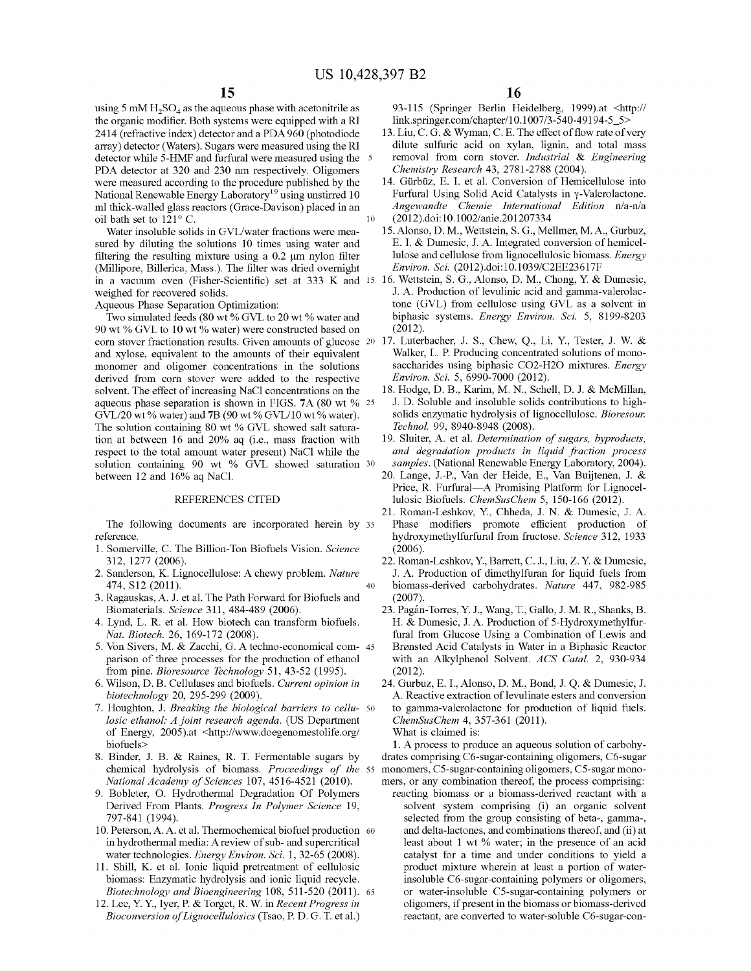using 5 mM  $H_2SO_4$  as the aqueous phase with acetonitrile as the organic modifier. Both systems were equipped with a RI 2414 (refractive index) detector and a PDA 960 (photodiode array) detector (Waters). Sugars were measured using the RI detector while 5-HMF and furfural were measured using the 5 PDA detector at 320 and 230 nm respectively. Oligomers were measured according to the procedure published by the National Renewable Energy Laboratory<sup>19</sup> using unstirred 10 ml thick-walled glass reactors (Grace-Davison) placed in an oil bath set to  $121^{\circ}$  C. 10

Water insoluble solids in GVL/water fractions were measured by diluting the solutions 10 times using water and filtering the resulting mixture using a 0.2 µm nylon filter (Millipore, Billerica, Mass.). The filter was dried overnight weighed for recovered solids.

Aqueous Phase Separation Optimization:

Two simulated feeds (80 wt % GVL to 20 wt % water and 90 wt % GVL to 10 wt % water) were constructed based on (2012). corn stover fractionation results. Given amounts of glucose 20 17. Luterbacher, J. S., Chew, Q., Li, Y., Tester, J. W. & and xylose, equivalent to the amounts of their equivalent monomer and oligomer concentrations in the solutions derived from corn stover were added to the respective solvent. The effect of increasing NaCl concentrations on the aqueous phase separation is shown in FIGS. 7A (80 wt % 25) GVL/20 wt% water) and **7B** (90 wt% GVL/10 wt% water). The solution containing 80 wt % GVL showed salt saturation at between 16 and 20% aq (i.e., mass fraction with respect to the total amount water present) NaCl while the solution containing 90 wt % GVL showed saturation 30 between 12 and 16% aq NaCl.

## REFERENCES CITED

The following documents are incorporated herein by 35 reference.

- 1. Somerville, C. The Billion-Ton Biofuels Vision. *Science*  312, 1277 (2006).
- 2. Sanderson, K. Lignocellulose: A chewy problem. *Nature*  474, S12 (2011).
- 3. Ragauskas, A. J. et al. The Path Forward for Biofuels and Biomaterials. *Science* 311, 484-489 (2006).
- 4. Lynd, L. R. et al. How biotech can transform biofuels. *Nat. Biotech.* 26, 169-172 (2008).
- 5. Von Sivers, M. & Zacchi, G. A techno-economical com- 45 parison of three processes for the production of ethanol from pine. *Bioresource Technology* 51, 43-52 (1995).
- 6. Wilson, D. B. Cellulases and biofuels. *Current opinion in biotechnology* 20, 295-299 (2009).
- 7. Houghton, J. *Breaking the biological barriers to cellu-* 50 *losic ethanol: A joint research agenda.* (US Department of Energy, 2005).at <http://www.doegenomestolife.org/ What is claimed is: biofuels>
- 8. Binder, J. B. & Raines, R. T. Fermentable sugars by *National Academy of Sciences* 107, 4516-4521 (2010).
- 9. Bobleter, 0. Hydrothermal Degradation Of Polymers Derived From Plants. *Progress In Polymer Science* 19, 797-841 (1994).
- 10. Peterson, A. A. et al. Thermochemical biofuel production 60 in hydrothermal media: A review of sub- and supercritical water technologies. *Energy Environ. Sci.* l, 32-65 (2008).
- 11. Shill, K. et al. Ionic liquid pretreatment of cellulosic biomass: Enzymatic hydrolysis and ionic liquid recycle. *Biotechnology and Bioengineering 108, 511-520 (2011).* 65
- 12. Lee, Y. Y., Iyer, P. & Target, R. W. in *Recent Progress in Bioconversion of Lignocellulosics* (Tsao, P. D. G. T. et al.)

93-115 (Springer Berlin Heidelberg, 1999).at <http:// link.springer.com/chapter/10.1007/3-540-49194-5 5>

- 13. Liu, C. G. & Wyman, C. E. The effect of flow rate of very dilute sulfuric acid on xylan, lignin, and total mass removal from corn stover. *Industrial* & *Engineering Chemistry Research* 43, 2781-2788 (2004).
- 14. Gürbüz, E. I. et al. Conversion of Hemicellulose into Furfural Using Solid Acid Catalysts in y-Valerolactone. *Angewandte Chemie International Edition* n/a-n/a (2012).doi: 10.1002/anie.201207334
- 15.Alonso, D. M., Wettstein, S. G., Mellmer, M.A., Gurbuz, E. I. & Dumesic, J. A. Integrated conversion of hemicellulose and cellulose from lignocellulosic biomass. *Energy Environ. Sci.* (2012).doi: 10.1039/C2EE23617F
- in a vacuum oven (Fisher-Scientific) set at 333 K and 15 16. Wettstein, S. G., Alonso, D. M., Chong, Y. & Dumesic, J. A. Production of levulinic acid and gamma-valerolactone (GVL) from cellulose using GVL as a solvent in biphasic systems. *Energy Environ. Sci.* 5, 8199-8203
	- Walker, L. P. Producing concentrated solutions of monosaccharides using biphasic CO2-H2O mixtures. *Energy Environ. Sci.* 5, 6990-7000 (2012).
	- 18. Hodge, D. B., Karim, M. N., Schell, D. J. & McMillan, J. D. Soluble and insoluble solids contributions to highsolids enzymatic hydrolysis of lignocellulose. *Bioresour. Technol.* 99, 8940-8948 (2008).
	- 19. Sluiter, A. et al. *Determination of sugars, byproducts, and degradation products in liquid fraction process samples.* (National Renewable Energy Laboratory, 2004).
	- 20. Lange, J.-P., Van der Heide, E., Van Buijtenen, J. & Price, R. Furfural-A Promising Platform for Lignocellulosic Biofuels. *ChemSusChem* 5, 150-166 (2012).
	- 21. Roman-Leshkov, Y., Chheda, J. N. & Dumesic, J. A. Phase modifiers promote efficient production of hydroxymethylfurfural from fructose. *Science* 312, 1933 (2006).
	- 22. Roman-Leshkov, Y., Barrett, C. J., Liu, Z. Y. & Dumesic, J. A. Production of dimethylfuran for liquid fuels from biomass-derived carbohydrates. *Nature* 447, 982-985 (2007).
	- 23. Pagan-Torres, Y. J., Wang, T., Gallo, J.M. R., Shanks, B. H. & Dumesic, J. A. Production of 5-Hydroxymethylfurfural from Glucose Using a Combination of Lewis and Bronsted Acid Catalysts in Water in a Biphasic Reactor with an Alkylphenol Solvent. *ACS Cata!.* 2, 930-934 (2012).
	- 24. Gurbuz, E. I., Alonso, D. M., Bond, J. Q. & Dumesic, J. A. Reactive extraction of levulinate esters and conversion to gamma-valerolactone for production of liquid fuels. *ChemSusChem* 4, 357-361 (2011).
		-

40

chemical hydrolysis of biomass. *Proceedings of the*  55 monomers, CS-sugar-containing oligomers, CS-sugar mono-**1.** A process to produce an aqueous solution of carbohydrates comprising C6-sugar-containing oligomers, C6-sugar mers, or any combination thereof, the process comprising:

reacting biomass or a biomass-derived reactant with a solvent system comprising (i) an organic solvent selected from the group consisting of beta-, gamma-, and delta-lactones, and combinations thereof, and (ii) at least about 1 wt % water; in the presence of an acid catalyst for a time and under conditions to yield a product mixture wherein at least a portion of waterinsoluble C6-sugar-containing polymers or oligomers, or water-insoluble CS-sugar-containing polymers or oligomers, if present in the biomass or biomass-derived reactant, are converted to water-soluble C6-sugar-con